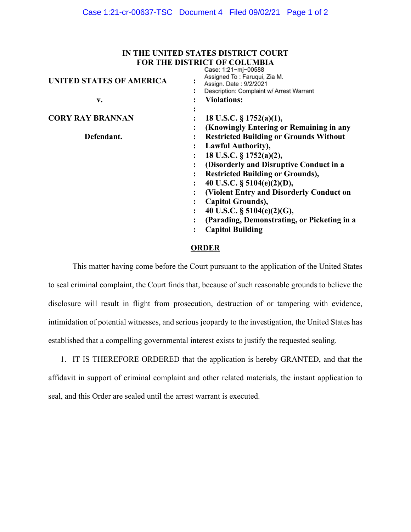## **IN THE UNITED STATES DISTRICT COURT FOR THE DISTRICT OF COLUMBIA**

| UNITED STATES OF AMERICA |                | <b>UGSC.</b> I.L.I III UUJUU<br>Assigned To: Faruqui, Zia M.<br>Assign. Date: 9/2/2021<br>Description: Complaint w/ Arrest Warrant |
|--------------------------|----------------|------------------------------------------------------------------------------------------------------------------------------------|
| v.                       |                | <b>Violations:</b>                                                                                                                 |
|                          |                |                                                                                                                                    |
| <b>CORY RAY BRANNAN</b>  |                | 18 U.S.C. $\S$ 1752(a)(1),                                                                                                         |
|                          |                | (Knowingly Entering or Remaining in any                                                                                            |
| Defendant.               |                | <b>Restricted Building or Grounds Without</b>                                                                                      |
|                          |                | Lawful Authority),                                                                                                                 |
|                          |                | 18 U.S.C. § 1752(a)(2),                                                                                                            |
|                          |                | (Disorderly and Disruptive Conduct in a                                                                                            |
|                          |                | <b>Restricted Building or Grounds),</b>                                                                                            |
|                          |                | 40 U.S.C. $\S$ 5104(e)(2)(D),                                                                                                      |
|                          |                | (Violent Entry and Disorderly Conduct on                                                                                           |
|                          |                | Capitol Grounds),                                                                                                                  |
|                          | ÷              | 40 U.S.C. § 5104(e)(2)(G),                                                                                                         |
|                          |                | (Parading, Demonstrating, or Picketing in a                                                                                        |
|                          | $\ddot{\cdot}$ | <b>Capitol Building</b>                                                                                                            |
|                          |                |                                                                                                                                    |

## **ORDER**

This matter having come before the Court pursuant to the application of the United States to seal criminal complaint, the Court finds that, because of such reasonable grounds to believe the disclosure will result in flight from prosecution, destruction of or tampering with evidence, intimidation of potential witnesses, and serious jeopardy to the investigation, the United States has established that a compelling governmental interest exists to justify the requested sealing.

1. IT IS THEREFORE ORDERED that the application is hereby GRANTED, and that the affidavit in support of criminal complaint and other related materials, the instant application to seal, and this Order are sealed until the arrest warrant is executed.